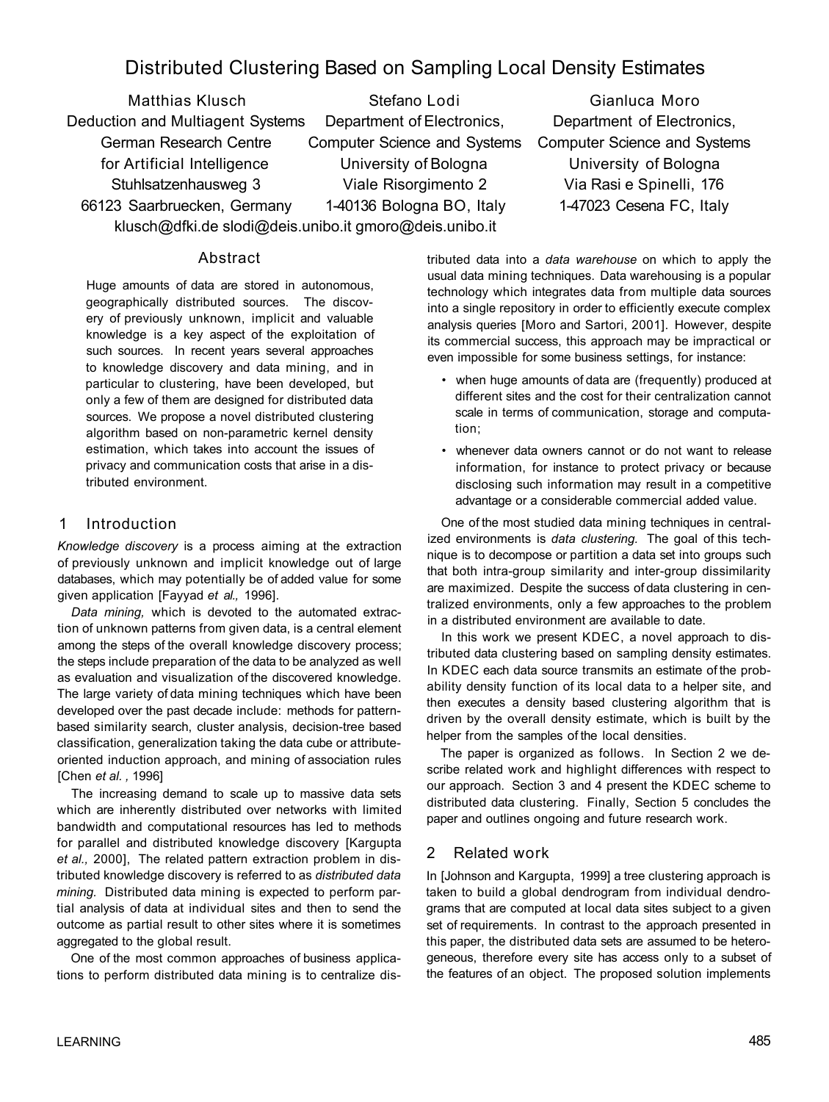# Distributed Clustering Based on Sampling Local Density Estimates

Deduction and Multiagent Systems Department of Electronics, Department of Electronics,

Matthias Klusch Stefano Lodi Gianluca Moro German Research Centre Computer Science and Systems Computer Science and Systems for Artificial Intelligence University of Bologna University of Bologna Stuhlsatzenhausweg 3 Viale Risorgimento 2 Via Rasi e Spinelli, 176 66123 Saarbruecken, Germany 1-40136 Bologna BO, Italy 1-47023 Cesena FC, Italy klusch@dfki.de slodi@deis.unibo.it gmoro@deis.unibo.it

## Abstract

Huge amounts of data are stored in autonomous, geographically distributed sources. The discovery of previously unknown, implicit and valuable knowledge is a key aspect of the exploitation of such sources. In recent years several approaches to knowledge discovery and data mining, and in particular to clustering, have been developed, but only a few of them are designed for distributed data sources. We propose a novel distributed clustering algorithm based on non-parametric kernel density estimation, which takes into account the issues of privacy and communication costs that arise in a distributed environment.

#### 1 Introduction

*Knowledge discovery* is a process aiming at the extraction of previously unknown and implicit knowledge out of large databases, which may potentially be of added value for some given application [Fayyad *et al.,* 1996].

*Data mining,* which is devoted to the automated extraction of unknown patterns from given data, is a central element among the steps of the overall knowledge discovery process; the steps include preparation of the data to be analyzed as well as evaluation and visualization of the discovered knowledge. The large variety of data mining techniques which have been developed over the past decade include: methods for patternbased similarity search, cluster analysis, decision-tree based classification, generalization taking the data cube or attributeoriented induction approach, and mining of association rules [Chen *et al. ,* 1996]

The increasing demand to scale up to massive data sets which are inherently distributed over networks with limited bandwidth and computational resources has led to methods for parallel and distributed knowledge discovery [Kargupta *et al.,* 2000], The related pattern extraction problem in distributed knowledge discovery is referred to as *distributed data mining.* Distributed data mining is expected to perform partial analysis of data at individual sites and then to send the outcome as partial result to other sites where it is sometimes aggregated to the global result.

One of the most common approaches of business applications to perform distributed data mining is to centralize distributed data into a *data warehouse* on which to apply the usual data mining techniques. Data warehousing is a popular technology which integrates data from multiple data sources into a single repository in order to efficiently execute complex analysis queries [Moro and Sartori, 2001]. However, despite its commercial success, this approach may be impractical or even impossible for some business settings, for instance:

- when huge amounts of data are (frequently) produced at different sites and the cost for their centralization cannot scale in terms of communication, storage and computation;
- whenever data owners cannot or do not want to release information, for instance to protect privacy or because disclosing such information may result in a competitive advantage or a considerable commercial added value.

One of the most studied data mining techniques in centralized environments is *data clustering.* The goal of this technique is to decompose or partition a data set into groups such that both intra-group similarity and inter-group dissimilarity are maximized. Despite the success of data clustering in centralized environments, only a few approaches to the problem in a distributed environment are available to date.

In this work we present KDEC, a novel approach to distributed data clustering based on sampling density estimates. In KDEC each data source transmits an estimate of the probability density function of its local data to a helper site, and then executes a density based clustering algorithm that is driven by the overall density estimate, which is built by the helper from the samples of the local densities.

The paper is organized as follows. In Section 2 we describe related work and highlight differences with respect to our approach. Section 3 and 4 present the KDEC scheme to distributed data clustering. Finally, Section 5 concludes the paper and outlines ongoing and future research work.

## 2 Related work

In [Johnson and Kargupta, 1999] a tree clustering approach is taken to build a global dendrogram from individual dendrograms that are computed at local data sites subject to a given set of requirements. In contrast to the approach presented in this paper, the distributed data sets are assumed to be heterogeneous, therefore every site has access only to a subset of the features of an object. The proposed solution implements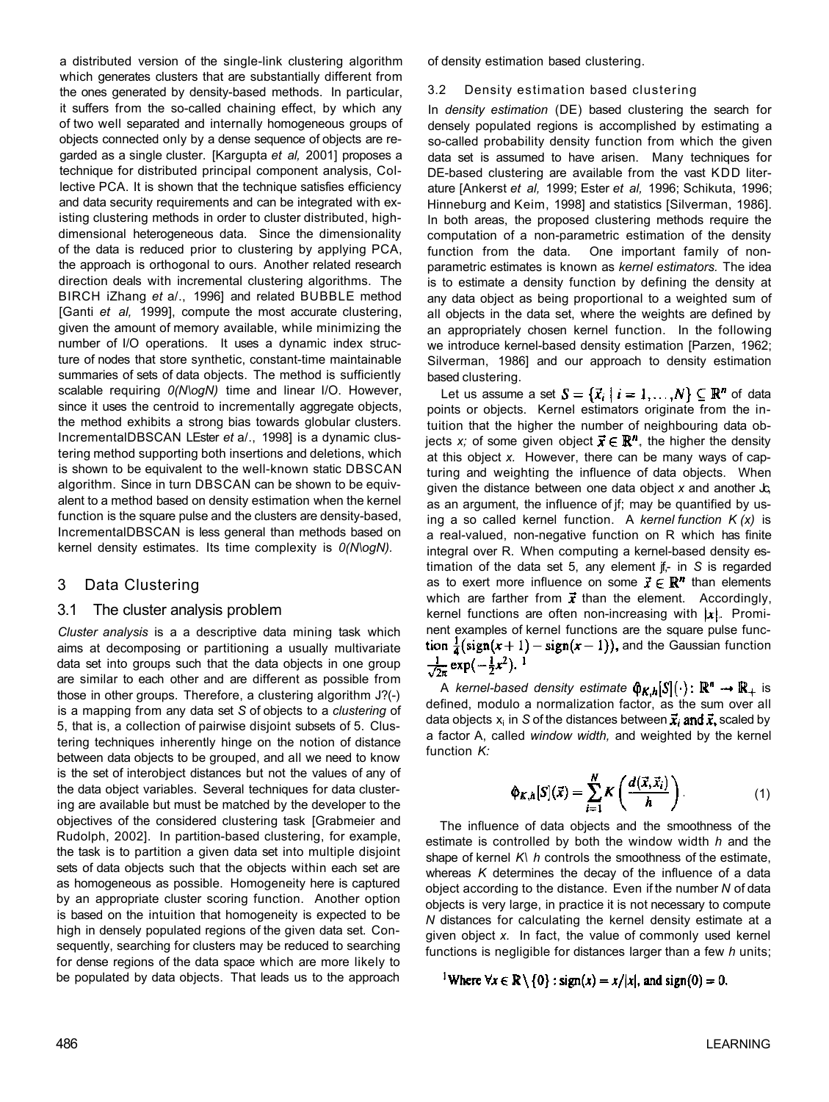a distributed version of the single-link clustering algorithm which generates clusters that are substantially different from the ones generated by density-based methods. In particular, it suffers from the so-called chaining effect, by which any of two well separated and internally homogeneous groups of objects connected only by a dense sequence of objects are regarded as a single cluster. [Kargupta *et al,* 2001] proposes a technique for distributed principal component analysis, Collective PCA. It is shown that the technique satisfies efficiency and data security requirements and can be integrated with existing clustering methods in order to cluster distributed, highdimensional heterogeneous data. Since the dimensionality of the data is reduced prior to clustering by applying PCA, the approach is orthogonal to ours. Another related research direction deals with incremental clustering algorithms. The BIRCH iZhang *et* a/., 1996] and related BUBBLE method [Ganti et al, 1999], compute the most accurate clustering, given the amount of memory available, while minimizing the number of I/O operations. It uses a dynamic index structure of nodes that store synthetic, constant-time maintainable summaries of sets of data objects. The method is sufficiently scalable requiring *0(N\ogN)* time and linear I/O. However, since it uses the centroid to incrementally aggregate objects, the method exhibits a strong bias towards globular clusters. IncrementalDBSCAN LEster *et* a/., 1998] is a dynamic clustering method supporting both insertions and deletions, which is shown to be equivalent to the well-known static DBSCAN algorithm. Since in turn DBSCAN can be shown to be equivalent to a method based on density estimation when the kernel function is the square pulse and the clusters are density-based, IncrementalDBSCAN is less general than methods based on kernel density estimates. Its time complexity is *0(N\ogN).* 

## 3 Data Clustering

#### 3.1 The cluster analysis problem

*Cluster analysis* is a a descriptive data mining task which aims at decomposing or partitioning a usually multivariate data set into groups such that the data objects in one group are similar to each other and are different as possible from those in other groups. Therefore, a clustering algorithm J?(-) is a mapping from any data set *S* of objects to a *clustering* of 5, that is, a collection of pairwise disjoint subsets of 5. Clustering techniques inherently hinge on the notion of distance between data objects to be grouped, and all we need to know is the set of interobject distances but not the values of any of the data object variables. Several techniques for data clustering are available but must be matched by the developer to the objectives of the considered clustering task [Grabmeier and Rudolph, 2002]. In partition-based clustering, for example, the task is to partition a given data set into multiple disjoint sets of data objects such that the objects within each set are as homogeneous as possible. Homogeneity here is captured by an appropriate cluster scoring function. Another option is based on the intuition that homogeneity is expected to be high in densely populated regions of the given data set. Consequently, searching for clusters may be reduced to searching for dense regions of the data space which are more likely to be populated by data objects. That leads us to the approach

of density estimation based clustering.

#### 3.2 Density estimation based clustering

In *density estimation* (DE) based clustering the search for densely populated regions is accomplished by estimating a so-called probability density function from which the given data set is assumed to have arisen. Many techniques for DE-based clustering are available from the vast KDD literature [Ankerst *et al,* 1999; Ester *et al,* 1996; Schikuta, 1996; Hinneburg and Keim, 1998] and statistics [Silverman, 1986]. In both areas, the proposed clustering methods require the computation of a non-parametric estimation of the density function from the data. One important family of nonparametric estimates is known as *kernel estimators.* The idea is to estimate a density function by defining the density at any data object as being proportional to a weighted sum of all objects in the data set, where the weights are defined by an appropriately chosen kernel function. In the following we introduce kernel-based density estimation [Parzen, 1962; Silverman, 1986] and our approach to density estimation based clustering.

Let us assume a set  $S = \{\vec{x}_i \mid i = 1, ..., N\} \subseteq \mathbb{R}^n$  of data points or objects. Kernel estimators originate from the intuition that the higher the number of neighbouring data objects x; of some given object  $\vec{x} \in \mathbb{R}^n$ , the higher the density at this object *x.* However, there can be many ways of capturing and weighting the influence of data objects. When given the distance between one data object *x* and another Jc, as an argument, the influence of jf; may be quantified by using a so called kernel function. A *kernel function K (x)* is a real-valued, non-negative function on R which has finite integral over R. When computing a kernel-based density estimation of the data set 5, any element jf,- in *S* is regarded as to exert more influence on some  $\vec{x} \in \mathbb{R}^n$  than elements which are farther from  $\vec{x}$  than the element. Accordingly, kernel functions are often non-increasing with  $|x|$ . Prominent examples of kernel functions are the square pulse function  $\frac{1}{4}(\text{sign}(x+1) - \text{sign}(x-1))$ , and the Gaussian function  $\frac{1}{\sqrt{2\pi}}\exp(-\frac{1}{2}x^2).$ <sup>1</sup>

A kernel-based density estimate  $\hat{\varphi}_{K,h}[S](\cdot): \mathbb{R}^n \to \mathbb{R}_+$  is defined, modulo a normalization factor, as the sum over all data objects  $x_i$  in S of the distances between  $\vec{x}_i$  and  $\vec{x}_i$ , scaled by a factor A, called *window width,* and weighted by the kernel function *K:* 

$$
\phi_{K,h}[S](\vec{x}) = \sum_{i=1}^{N} K\left(\frac{d(\vec{x}, \vec{x}_i)}{h}\right).
$$
 (1)

The influence of data objects and the smoothness of the estimate is controlled by both the window width *h* and the shape of kernel *K\ h* controls the smoothness of the estimate, whereas *K* determines the decay of the influence of a data object according to the distance. Even if the number *N* of data objects is very large, in practice it is not necessary to compute *N* distances for calculating the kernel density estimate at a given object *x.* In fact, the value of commonly used kernel functions is negligible for distances larger than a few *h* units;

<sup>1</sup>Where  $\forall x \in \mathbb{R} \setminus \{0\}$ : sign(x) = x/|x|, and sign(0) = 0.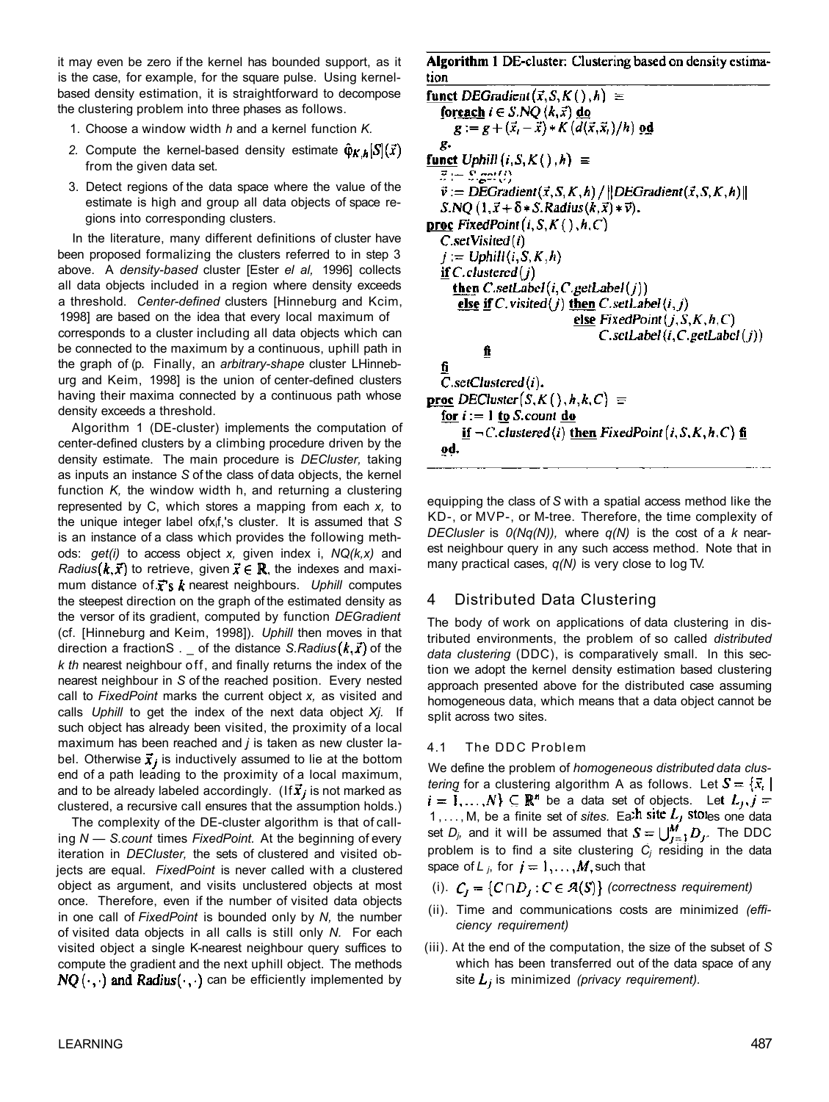it may even be zero if the kernel has bounded support, as it is the case, for example, for the square pulse. Using kernelbased density estimation, it is straightforward to decompose the clustering problem into three phases as follows.

- 1. Choose a window width *h* and a kernel function *K.*
- 2. Compute the kernel-based density estimate  $\hat{\varphi}_{K,h}[S](\vec{x})$ from the given data set.
- 3. Detect regions of the data space where the value of the estimate is high and group all data objects of space regions into corresponding clusters.

In the literature, many different definitions of cluster have been proposed formalizing the clusters referred to in step 3 above. A *density-based* cluster [Ester *el al,* 1996] collects all data objects included in a region where density exceeds a threshold. *Center-defined* clusters [Hinneburg and Kcim, 1998] are based on the idea that every local maximum of corresponds to a cluster including all data objects which can be connected to the maximum by a continuous, uphill path in the graph of (p. Finally, an *arbitrary-shape* cluster LHinneburg and Keim, 1998] is the union of center-defined clusters having their maxima connected by a continuous path whose density exceeds a threshold.

Algorithm 1 (DE-cluster) implements the computation of center-defined clusters by a climbing procedure driven by the density estimate. The main procedure is *DECluster,* taking as inputs an instance *S* of the class of data objects, the kernel function *K,* the window width h, and returning a clustering represented by C, which stores a mapping from each *x,* to the unique integer label ofxif,'s cluster. It is assumed that *S*  is an instance of a class which provides the following methods: *get(i)* to access object *x,* given index i, *NQ(k,x)* and *Radius*  $(k, \vec{x})$  to retrieve, given  $\vec{x} \in \mathbb{R}$ , the indexes and maximum distance of  $\vec{x}$ 's  $\vec{k}$  nearest neighbours. Uphill computes the steepest direction on the graph of the estimated density as the versor of its gradient, computed by function *DEGradient*  (cf. [Hinneburg and Keim, 1998]). *Uphill* then moves in that direction a fractionS .  $\Box$  of the distance *S.Radius*  $(k, \vec{x})$  of the *k th* nearest neighbour off, and finally returns the index of the nearest neighbour in *S* of the reached position. Every nested call to *FixedPoint* marks the current object *x,* as visited and calls *Uphill* to get the index of the next data object *Xj.* If such object has already been visited, the proximity of a local maximum has been reached and *j* is taken as new cluster label. Otherwise  $\vec{x}_i$  is inductively assumed to lie at the bottom end of a path leading to the proximity of a local maximum, and to be already labeled accordingly. (If  $\vec{x}_i$  is not marked as clustered, a recursive call ensures that the assumption holds.)

The complexity of the DE-cluster algorithm is that of calling *N* — *S.count* times *FixedPoint.* At the beginning of every iteration in *DECluster,* the sets of clustered and visited objects are equal. *FixedPoint* is never called with a clustered object as argument, and visits unclustered objects at most once. Therefore, even if the number of visited data objects in one call of *FixedPoint* is bounded only by *N,* the number of visited data objects in all calls is still only *N.* For each visited object a single K-nearest neighbour query suffices to compute the gradient and the next uphill object. The methods  $NQ(\cdot, \cdot)$  and Radius $(\cdot, \cdot)$  can be efficiently implemented by Algorithm 1 DE-cluster: Clustering based on density estimation

funct DEGradient  $(\vec{x}, S, K() , h) \equiv$ foreach  $i \in S.NQ(k, \vec{x})$  do  $g := g + (\vec{x}_i - \vec{x}) * K (d(\vec{x}, \vec{x}_i)/h)$  od χ. funct Uphill  $(i, S, K( ), h) \equiv$  $\vec{x}:=\mathbb{S}.\text{get}(\vec{t})$  $\vec{v} := \text{DEGradient}(\vec{x}, S, K, h) / ||\text{DEGradient}(\vec{x}, S, K, h)||$  $S.NQ(1, \vec{x} + \delta * S.Radius(k, \vec{x}) * \vec{v}).$ **proc** FixedPoint  $(i, S, K( ) , h, C)$  $C.setVisted(i)$  $j := \text{Uphill}(i, S, K, h)$ if  $C$  clustered $(j)$ then  $C.setLabel(i, C.getLabel(j))$ else if C. visited(j) then C. setLabel(i, j) else FixedPoint $(j, S, K, h, C)$  $C.$ sctLabel $(i, C.$ getLabel $(j)$ fi fi  $C.setClustered(i).$ **proc** DECluster $(S, K(), h, k, C) \equiv$ <u>for</u>  $i := 1$  to *S*.count do if  $\neg C$ .clustered(i) then FixedPoint (i, S, K, h, C) fi od.

equipping the class of *S* with a spatial access method like the KD-, or MVP-, or M-tree. Therefore, the time complexity of *DEClusler* is *0(Nq(N)),* where *q(N)* is the cost of a *k* nearest neighbour query in any such access method. Note that in many practical cases, *q(N)* is very close to log TV.

## 4 Distributed Data Clustering

The body of work on applications of data clustering in distributed environments, the problem of so called *distributed data clustering* (DDC), is comparatively small. In this section we adopt the kernel density estimation based clustering approach presented above for the distributed case assuming homogeneous data, which means that a data object cannot be split across two sites.

#### 4.1 The DDC Problem

We define the problem of *homogeneous distributed data clustering* for a clustering algorithm A as follows. Let  $S = \{ \vec{x}_i \}$ be a data set of objects. Let 1,..., M, be a finite set of *sites*. Ea<sup>th</sup> site  $L_f$  stores one data set  $D_j$ , and it will be assumed that  $S = \bigcup_{i=1}^m D_j$ . The DDC problem is to find a site clustering *Cj* residing in the data space of  $L_j$ , for  $j = 1, ..., M$ , such that

- (i).  $C_i = \{C \cap D_i : C \in \mathcal{A}(S)\}\$  (correctness requirement)
- (ii). Time and communications costs are minimized *(efficiency requirement)*
- (iii). At the end of the computation, the size of the subset of *S*  which has been transferred out of the data space of any site  $L_i$  is minimized (privacy requirement).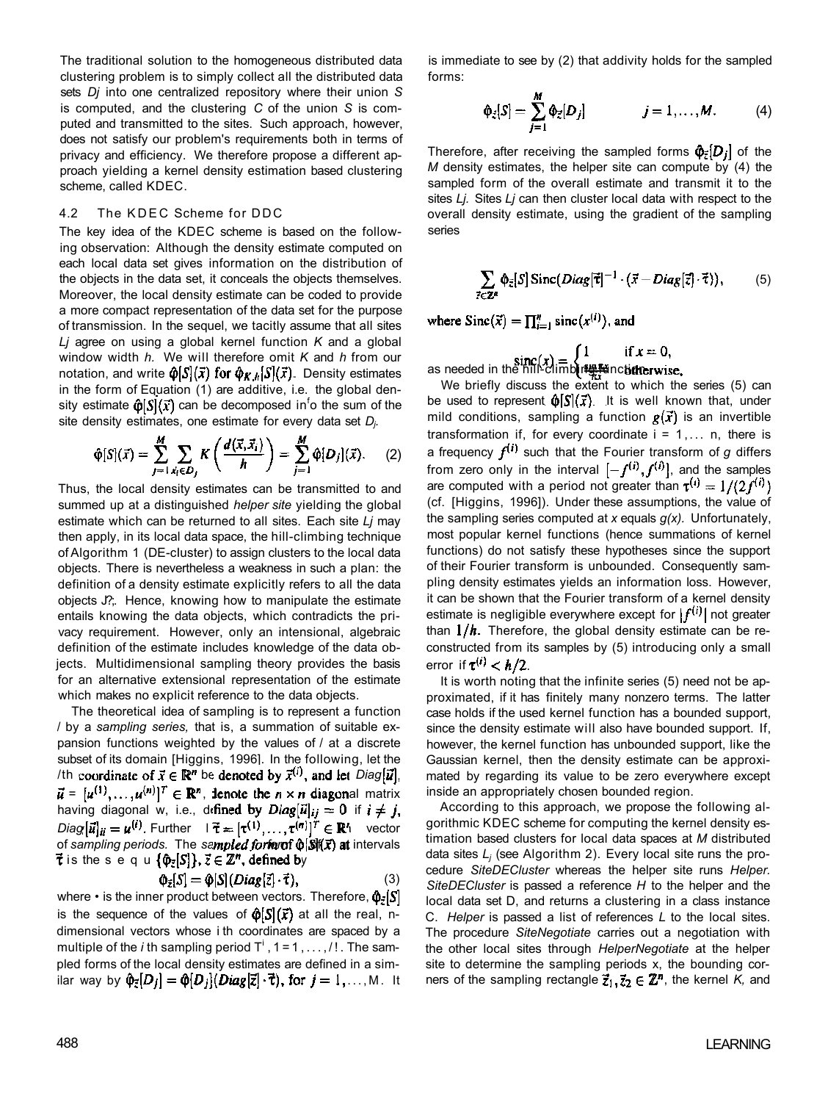The traditional solution to the homogeneous distributed data clustering problem is to simply collect all the distributed data sets *Dj* into one centralized repository where their union *S*  is computed, and the clustering *C* of the union *S* is computed and transmitted to the sites. Such approach, however, does not satisfy our problem's requirements both in terms of privacy and efficiency. We therefore propose a different approach yielding a kernel density estimation based clustering scheme, called KDEC.

#### 4.2 The KDEC Scheme for DDC

The key idea of the KDEC scheme is based on the following observation: Although the density estimate computed on each local data set gives information on the distribution of the objects in the data set, it conceals the objects themselves. Moreover, the local density estimate can be coded to provide a more compact representation of the data set for the purpose of transmission. In the sequel, we tacitly assume that all sites *Lj* agree on using a global kernel function *K* and a global window width *h.* We will therefore omit *K* and *h* from our notation, and write  $\hat{\varphi}[S](\vec{x})$  for  $\hat{\varphi}_{K,h}[S](\vec{x})$ . Density estimates in the form of Equation (1) are additive, i.e. the global density estimate  $\hat{\varphi}[S](\vec{x})$  can be decomposed in<sup>f</sup>o the sum of the site density estimates, one estimate for every data set *Dj.* 

$$
\hat{\varphi}[S](\vec{x}) = \sum_{j=1}^{M} \sum_{\vec{x}_i \in D_j} K\left(\frac{d(\vec{x}, \vec{x}_i)}{h}\right) = \sum_{j=1}^{M} \hat{\varphi}[D_j](\vec{x}). \tag{2}
$$

Thus, the local density estimates can be transmitted to and summed up at a distinguished *helper site* yielding the global estimate which can be returned to all sites. Each site *Lj* may then apply, in its local data space, the hill-climbing technique of Algorithm 1 (DE-cIuster) to assign clusters to the local data objects. There is nevertheless a weakness in such a plan: the definition of a density estimate explicitly refers to all the data objects J?;. Hence, knowing how to manipulate the estimate entails knowing the data objects, which contradicts the privacy requirement. However, only an intensional, algebraic definition of the estimate includes knowledge of the data objects. Multidimensional sampling theory provides the basis for an alternative extensional representation of the estimate which makes no explicit reference to the data objects.

The theoretical idea of sampling is to represent a function / by a *sampling series,* that is, a summation of suitable expansion functions weighted by the values of / at a discrete subset of its domain [Higgins, 1996]. In the following, let the /th coordinate of  $\vec{x} \in \mathbb{R}^n$  be denoted by  $\vec{x}^{(i)}$ , and let *Diag*  $[\vec{u}]$ ,  $\vec{u} = [u^{(1)}, \dots, u^{(n)}]^T \in \mathbb{R}^n$ , lenote the  $n \times n$  diagonal matrix having diagonal w, i.e., defined by  $Diag[\vec{u}]_{ij} = 0$  if  $i \neq j$ ,  $Diag [\vec{u}]_{ii} = u^{(i)}$ . Further  $|\vec{\tau} = [\tau^{(1)}, \dots, \tau^{(n)}]^T \in \mathbb{R}^n$  vector of sampling periods. The sampled fortan  $\hat{\phi}[\mathcal{S}](\vec{x})$  at intervals  $\vec{\tau}$  is the sequ $\{\hat{\varphi}_{\vec{z}}[S]\}, \vec{z} \in \mathbb{Z}^n$ , defined by

$$
\Phi_{\bar{z}}[S] = \Phi[S](Diag[\bar{z}]\cdot\vec{\tau}),\tag{3}
$$

where  $\cdot$  is the inner product between vectors. Therefore,  $\phi_{\tilde{z}}[S]$ is the sequence of the values of  $\hat{\phi}[S](\vec{x})$  at all the real, ndimensional vectors whose i th coordinates are spaced by a multiple of the *i* th sampling period  $T^i$  , 1 = 1, . . . , /!. The sampled forms of the local density estimates are defined in a similar way by  $\hat{\varphi}_{\vec{z}}[D_j] = \hat{\varphi}[D_j](Diag[\vec{z}] \cdot \vec{\tau})$ , for  $j = 1, \ldots, M$ . It is immediate to see by (2) that addivity holds for the sampled forms:

$$
\hat{\varphi}_{\vec{z}}[S] = \sum_{j=1}^{M} \hat{\varphi}_{\vec{z}}[D_j] \qquad j = 1,\ldots,M. \qquad (4)
$$

Therefore, after receiving the sampled forms  $\hat{\phi}_{\bar{z}}[D_i]$  of the *M* density estimates, the helper site can compute by (4) the sampled form of the overall estimate and transmit it to the sites *Lj.* Sites *Lj* can then cluster local data with respect to the overall density estimate, using the gradient of the sampling series

$$
\sum_{\vec{\tau} \in \mathbb{Z}^n} \hat{\varphi}_{\vec{z}}[S] \operatorname{Sinc}(Diag[\vec{\tau}]^{-1} \cdot (\vec{x} - Diag[\vec{z}] \cdot \vec{\tau})), \tag{5}
$$

where  $Sinc(\vec{x}) = \prod_{i=1}^{n} sinc(x^{(i)})$ , and

as needed in the hill^climb**i**n <del>ly fu</del>ncti**dier** 

We briefly discuss the extent to which the series (5) can be used to represent  $\hat{\phi}[s](\vec{x})$  It is well known that, under mild conditions, sampling a function  $g(\vec{x})$  is an invertible transformation if, for every coordinate  $i = 1, \ldots n$ , there is a frequency  $f^{(i)}$  such that the Fourier transform of g differs from zero only in the interval  $[-f^{(i)}, f^{(i)}]$ , and the samples are computed with a period not greater than  $\tau^{(i)} = 1/(2f^{(i)})$ (cf. [Higgins, 1996]). Under these assumptions, the value of the sampling series computed at *x* equals *g(x).* Unfortunately, most popular kernel functions (hence summations of kernel functions) do not satisfy these hypotheses since the support of their Fourier transform is unbounded. Consequently sampling density estimates yields an information loss. However, it can be shown that the Fourier transform of a kernel density estimate is negligible everywhere except for  $|f^{(i)}|$  not greater than  $1/h$ . Therefore, the global density estimate can be reconstructed from its samples by (5) introducing only a small error if  $\tau^{(i)} < h/2$ .

It is worth noting that the infinite series (5) need not be approximated, if it has finitely many nonzero terms. The latter case holds if the used kernel function has a bounded support, since the density estimate will also have bounded support. If, however, the kernel function has unbounded support, like the Gaussian kernel, then the density estimate can be approximated by regarding its value to be zero everywhere except inside an appropriately chosen bounded region.

According to this approach, we propose the following algorithmic KDEC scheme for computing the kernel density estimation based clusters for local data spaces at *M* distributed data sites *Lj* (see Algorithm 2). Every local site runs the procedure *SiteDECluster* whereas the helper site runs *Helper. SiteDECluster* is passed a reference *H* to the helper and the local data set D, and returns a clustering in a class instance C. *Helper* is passed a list of references *L* to the local sites. The procedure *SiteNegotiate* carries out a negotiation with the other local sites through *HelperNegotiate* at the helper site to determine the sampling periods x, the bounding corners of the sampling rectangle  $\vec{z}_1, \vec{z}_2 \in \mathbb{Z}^n$ , the kernel *K*, and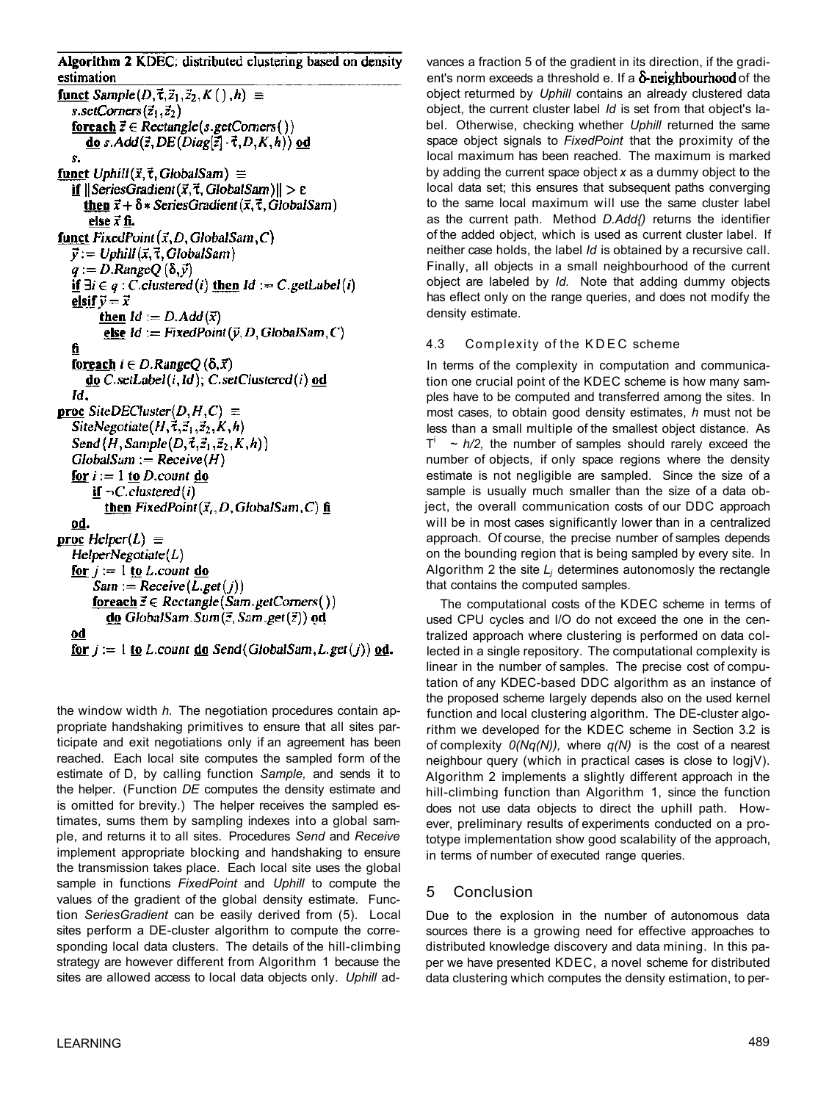Algorithm 2 KDEC: distributed clustering based on density estimation funct Sample( $D, \vec{\tau}, \vec{z}_1, \vec{z}_2, K( \cdot ), h \equiv$ s.setCorners $(\vec{z}_1, \vec{z}_2)$ foreach  $\vec{z} \in Rectangle(s.getConers())$ do s. Add( $\vec{z}$ , DE(Diag[ $\vec{z}$ ]  $\cdot$   $\vec{\tau}$ , D, K, h)) od s. funct Uphill( $\vec{x}, \vec{\tau}$ , GlobalSam)  $\equiv$ if  $||\mathsf{SeriesGradient}(\vec{x}, \vec{\tau}, \mathsf{GlobalSam})|| > \varepsilon$ then  $\vec{x} + \delta *$  Series Gradient  $(\vec{x}, \vec{\tau}, G$  lobal Sam) else  $\vec{x}$  fi. funct FixedPoint  $(\vec{x}, D, G$ lobalSam, C)  $\vec{y} := U$ phill $(\vec{x}, \vec{\tau}, G$ lobalSam  $q := D$ . Range  $Q(\delta, \vec{y})$ if  $\exists i \in q : C$  clustered (i) then  $Id := C$  getLabel (i) elsif  $\vec{v} = \vec{x}$ then  $Id := D. Add(\vec{x})$ else  $Id := FixedPoint(\vec{v}, D, GlobalSam, C)$ fi foreach  $i \in D$ . Range  $O(\delta, \vec{x})$  $do C.setLabel (i, Id); C.setCluster (i)$  od Id. **proc** SiteDECluster( $D, H, C$ )  $\equiv$ SiteNegotiate $(H, \vec{\tau}, \vec{z}_1, \vec{z}_2, K, h)$ Send  $(H, Sample(D, \vec{\tau}, \vec{z}_1, \vec{z}_2, K, h))$  $GlobalSam := Receive(H)$ for  $i := 1$  to *D*.count do if  $\neg C$  clustered (i) then FixedPoint $(\vec{x}_i, D, G$ lobalSam, C) fi <u>od.</u> **proc** Helper(L)  $\equiv$  $HelperNegotiate(L)$ for  $j := 1$  to L count do  $Sam := Receive(L.get(j))$ foreach  $\vec{z} \in \text{Rectangle}(\text{Sam.getConers}()$ do GlobalSam.Sum $(\vec{z}, Sam.get(\vec{z}))$  od ođ <u>for  $j := 1$  to L</u> count <u>do</u> Send(GlobalSam, L get(j)) od.

the window width *h.* The negotiation procedures contain appropriate handshaking primitives to ensure that all sites participate and exit negotiations only if an agreement has been reached. Each local site computes the sampled form of the estimate of D, by calling function *Sample,* and sends it to the helper. (Function *DE* computes the density estimate and is omitted for brevity.) The helper receives the sampled estimates, sums them by sampling indexes into a global sample, and returns it to all sites. Procedures *Send* and *Receive*  implement appropriate blocking and handshaking to ensure the transmission takes place. Each local site uses the global sample in functions *FixedPoint* and *Uphill* to compute the values of the gradient of the global density estimate. Function *SeriesGradient* can be easily derived from (5). Local sites perform a DE-cluster algorithm to compute the corresponding local data clusters. The details of the hill-climbing strategy are however different from Algorithm 1 because the sites are allowed access to local data objects only. *Uphill* advances a fraction 5 of the gradient in its direction, if the gradient's norm exceeds a threshold e. If a  $\delta$ -neighbourhood of the object returmed by *Uphill* contains an already clustered data object, the current cluster label *Id* is set from that object's label. Otherwise, checking whether *Uphill* returned the same space object signals to *FixedPoint* that the proximity of the local maximum has been reached. The maximum is marked by adding the current space object *x* as a dummy object to the local data set; this ensures that subsequent paths converging to the same local maximum will use the same cluster label as the current path. Method *D.Add{)* returns the identifier of the added object, which is used as current cluster label. If neither case holds, the label *Id* is obtained by a recursive call. Finally, all objects in a small neighbourhood of the current object are labeled by *Id.* Note that adding dummy objects has eflect only on the range queries, and does not modify the density estimate.

## 4.3 Complexity of the KDEC scheme

In terms of the complexity in computation and communication one crucial point of the KDEC scheme is how many samples have to be computed and transferred among the sites. In most cases, to obtain good density estimates, *h* must not be less than a small multiple of the smallest object distance. As  $T^{\dagger}$  ~  $h/2$ , the number of samples should rarely exceed the number of objects, if only space regions where the density estimate is not negligible are sampled. Since the size of a sample is usually much smaller than the size of a data object, the overall communication costs of our DDC approach will be in most cases significantly lower than in a centralized approach. Of course, the precise number of samples depends on the bounding region that is being sampled by every site. In Algorithm 2 the site *Lj* determines autonomosly the rectangle that contains the computed samples.

The computational costs of the KDEC scheme in terms of used CPU cycles and I/O do not exceed the one in the centralized approach where clustering is performed on data collected in a single repository. The computational complexity is linear in the number of samples. The precise cost of computation of any KDEC-based DDC algorithm as an instance of the proposed scheme largely depends also on the used kernel function and local clustering algorithm. The DE-cluster algorithm we developed for the KDEC scheme in Section 3.2 is of complexity *0(Nq(N)),* where *q(N)* is the cost of a nearest neighbour query (which in practical cases is close to logjV). Algorithm 2 implements a slightly different approach in the hill-climbing function than Algorithm 1, since the function does not use data objects to direct the uphill path. However, preliminary results of experiments conducted on a prototype implementation show good scalability of the approach, in terms of number of executed range queries.

# 5 Conclusion

Due to the explosion in the number of autonomous data sources there is a growing need for effective approaches to distributed knowledge discovery and data mining. In this paper we have presented KDEC, a novel scheme for distributed data clustering which computes the density estimation, to per